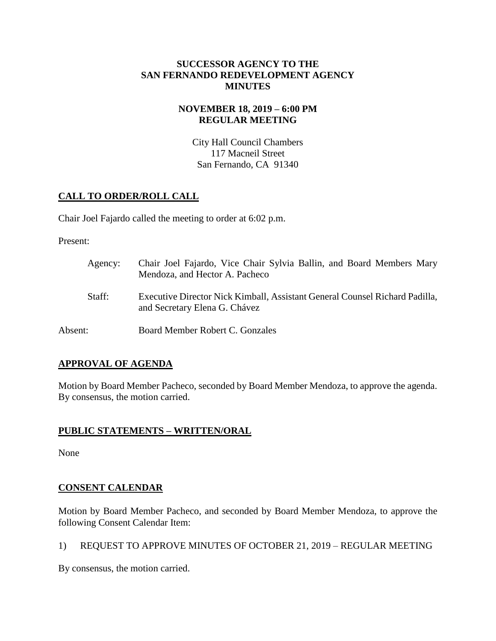## **SUCCESSOR AGENCY TO THE SAN FERNANDO REDEVELOPMENT AGENCY MINUTES**

## **NOVEMBER 18, 2019 – 6:00 PM REGULAR MEETING**

City Hall Council Chambers 117 Macneil Street San Fernando, CA 91340

# **CALL TO ORDER/ROLL CALL**

Chair Joel Fajardo called the meeting to order at 6:02 p.m.

Present:

| Agency: | Chair Joel Fajardo, Vice Chair Sylvia Ballin, and Board Members Mary<br>Mendoza, and Hector A. Pacheco       |
|---------|--------------------------------------------------------------------------------------------------------------|
| Staff:  | Executive Director Nick Kimball, Assistant General Counsel Richard Padilla,<br>and Secretary Elena G. Chávez |
| Absent: | Board Member Robert C. Gonzales                                                                              |

# **APPROVAL OF AGENDA**

Motion by Board Member Pacheco, seconded by Board Member Mendoza, to approve the agenda. By consensus, the motion carried.

## **PUBLIC STATEMENTS – WRITTEN/ORAL**

None

# **CONSENT CALENDAR**

Motion by Board Member Pacheco, and seconded by Board Member Mendoza, to approve the following Consent Calendar Item:

1) REQUEST TO APPROVE MINUTES OF OCTOBER 21, 2019 – REGULAR MEETING

By consensus, the motion carried.